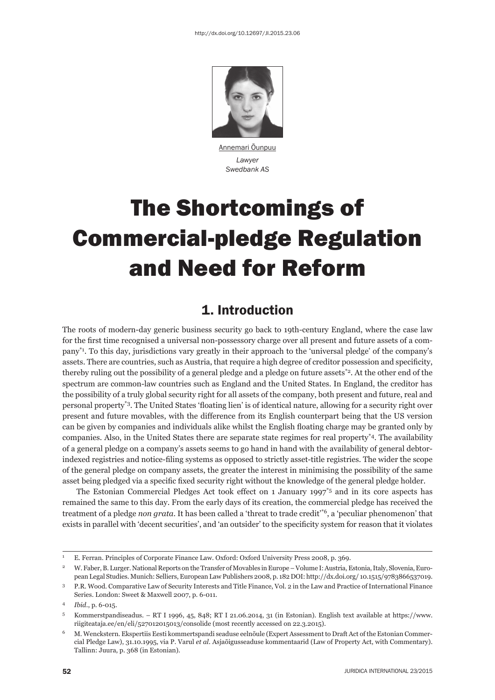

Annemari Õunpuu *Lawyer Swedbank AS* 

# The Shortcomings of Commercial-pledge Regulation and Need for Reform

## 1. Introduction

The roots of modern-day generic business security go back to 19th-century England, where the case law for the first time recognised a universal non-possessory charge over all present and future assets of a company\*1. To this day, jurisdictions vary greatly in their approach to the 'universal pledge' of the company's assets. There are countries, such as Austria, that require a high degree of creditor possession and specificity, thereby ruling out the possibility of a general pledge and a pledge on future assets<sup>\*2</sup>. At the other end of the spectrum are common-law countries such as England and the United States. In England, the creditor has the possibility of a truly global security right for all assets of the company, both present and future, real and personal property<sup>\*3</sup>. The United States 'floating lien' is of identical nature, allowing for a security right over present and future movables, with the difference from its English counterpart being that the US version can be given by companies and individuals alike whilst the English floating charge may be granted only by companies. Also, in the United States there are separate state regimes for real property\*4. The availability of a general pledge on a company's assets seems to go hand in hand with the availability of general debtorindexed registries and notice-filing systems as opposed to strictly asset-title registries. The wider the scope of the general pledge on company assets, the greater the interest in minimising the possibility of the same asset being pledged via a specific fixed security right without the knowledge of the general pledge holder.

The Estonian Commercial Pledges Act took effect on 1 January 1997<sup> $*$ 5</sup> and in its core aspects has remained the same to this day. From the early days of its creation, the commercial pledge has received the treatment of a pledge *non grata*. It has been called a 'threat to trade credit'\*6, a 'peculiar phenomenon' that exists in parallel with 'decent securities', and 'an outsider' to the specificity system for reason that it violates

<sup>1</sup> E. Ferran. Principles of Corporate Finance Law. Oxford: Oxford University Press 2008, p. 369.

<sup>2</sup> W. Faber, B. Lurger. National Reports on the Transfer of Movables in Europe – Volume I: Austria, Estonia, Italy, Slovenia, European Legal Studies. Munich: Selliers, European Law Publishers 2008, p. 182 DOI: http://dx.doi.org/ 10.1515/9783866537019.

<sup>3</sup> P.R. Wood. Comparative Law of Security Interests and Title Finance, Vol. 2 in the Law and Practice of International Finance Series. London: Sweet & Maxwell 2007, p. 6-011.

<sup>4</sup> *Ibid*., p. 6-015.

<sup>5</sup> Kommerstpandiseadus. – RT I 1996, 45, 848; RT I 21.06.2014, 31 (in Estonian). English text available at https://www. riigiteataja.ee/en/eli/527012015013/consolide (most recently accessed on 22.3.2015).

<sup>6</sup> M. Wenckstern. Ekspertiis Eesti kommertspandi seaduse eelnõule (Expert Assessment to Draft Act of the Estonian Commercial Pledge Law), 31.10.1995, via P. Varul *et al.* Asjaõigusseaduse kommentaarid (Law of Property Act, with Commentary). Tallinn: Juura, p. 368 (in Estonian).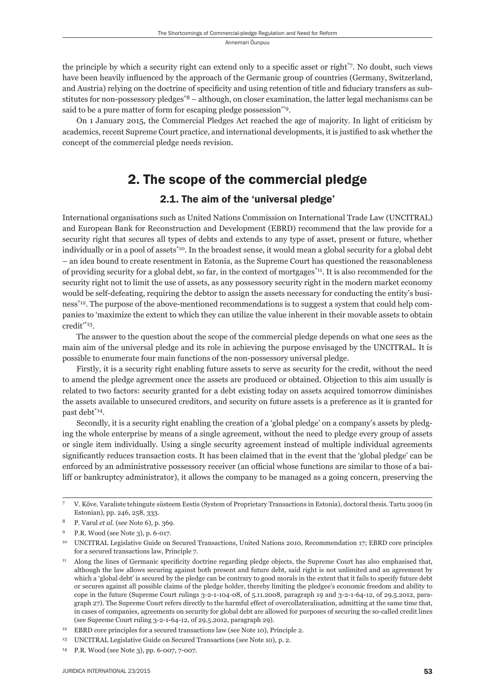the principle by which a security right can extend only to a specific asset or right<sup>\*7</sup>. No doubt, such views have been heavily influenced by the approach of the Germanic group of countries (Germany, Switzerland, and Austria) relying on the doctrine of specificity and using retention of title and fiduciary transfers as substitutes for non-possessory pledges\*8 – although, on closer examination, the latter legal mechanisms can be said to be a pure matter of form for escaping pledge possession'\*9.

On 1 January 2015, the Commercial Pledges Act reached the age of majority. In light of criticism by academics, recent Supreme Court practice, and international developments, it is justified to ask whether the concept of the commercial pledge needs revision.

## 2. The scope of the commercial pledge

#### 2.1. The aim of the 'universal pledge'

International organisations such as United Nations Commission on International Trade Law (UNCITRAL) and European Bank for Reconstruction and Development (EBRD) recommend that the law provide for a security right that secures all types of debts and extends to any type of asset, present or future, whether individually or in a pool of assets<sup>\*10</sup>. In the broadest sense, it would mean a global security for a global debt – an idea bound to create resentment in Estonia, as the Supreme Court has questioned the reasonableness of providing security for a global debt, so far, in the context of mortgages\*11. It is also recommended for the security right not to limit the use of assets, as any possessory security right in the modern market economy would be self-defeating, requiring the debtor to assign the assets necessary for conducting the entity's business<sup>\*12</sup>. The purpose of the above-mentioned recommendations is to suggest a system that could help companies to 'maximize the extent to which they can utilize the value inherent in their movable assets to obtain credit'\*13.

The answer to the question about the scope of the commercial pledge depends on what one sees as the main aim of the universal pledge and its role in achieving the purpose envisaged by the UNCITRAL. It is possible to enumerate four main functions of the non-possessory universal pledge.

Firstly, it is a security right enabling future assets to serve as security for the credit, without the need to amend the pledge agreement once the assets are produced or obtained. Objection to this aim usually is related to two factors: security granted for a debt existing today on assets acquired tomorrow diminishes the assets available to unsecured creditors, and security on future assets is a preference as it is granted for past debt\*14.

Secondly, it is a security right enabling the creation of a 'global pledge' on a company's assets by pledging the whole enterprise by means of a single agreement, without the need to pledge every group of assets or single item individually. Using a single security agreement instead of multiple individual agreements significantly reduces transaction costs. It has been claimed that in the event that the 'global pledge' can be enforced by an administrative possessory receiver (an official whose functions are similar to those of a bailiff or bankruptcy administrator), it allows the company to be managed as a going concern, preserving the

<sup>7</sup> V. Kõve. Varaliste tehingute süsteem Eestis (System of Proprietary Transactions in Estonia), doctoral thesis. Tartu 2009 (in Estonian), pp. 246, 258, 333.

<sup>8</sup> P. Varul *et al.* (see Note 6), p. 369.

<sup>9</sup> P.R. Wood (see Note 3), p. 6-017.

<sup>10</sup> UNCITRAL Legislative Guide on Secured Transactions, United Nations 2010, Recommendation 17; EBRD core principles for a secured transactions law, Principle 7.

<sup>&</sup>lt;sup>11</sup> Along the lines of Germanic specificity doctrine regarding pledge objects, the Supreme Court has also emphasised that, although the law allows securing against both present and future debt, said right is not unlimited and an agreement by which a 'global debt' is secured by the pledge can be contrary to good morals in the extent that it fails to specify future debt or secures against all possible claims of the pledge holder, thereby limiting the pledgee's economic freedom and ability to cope in the future (Supreme Court rulings 3-2-1-104-08, of 5.11.2008, paragraph 19 and 3-2-1-64-12, of 29.5.2012, paragraph 27). The Supreme Court refers directly to the harmful effect of overcollateralisation, admitting at the same time that, in cases of companies, agreements on security for global debt are allowed for purposes of securing the so-called credit lines (see Supreme Court ruling 3-2-1-64-12, of 29.5.2012, paragraph 29).

<sup>&</sup>lt;sup>12</sup> EBRD core principles for a secured transactions law (see Note 10), Principle 2.

<sup>&</sup>lt;sup>13</sup> UNCITRAL Legislative Guide on Secured Transactions (see Note 10), p. 2.

<sup>14</sup> P.R. Wood (see Note 3), pp. 6-007, 7-007.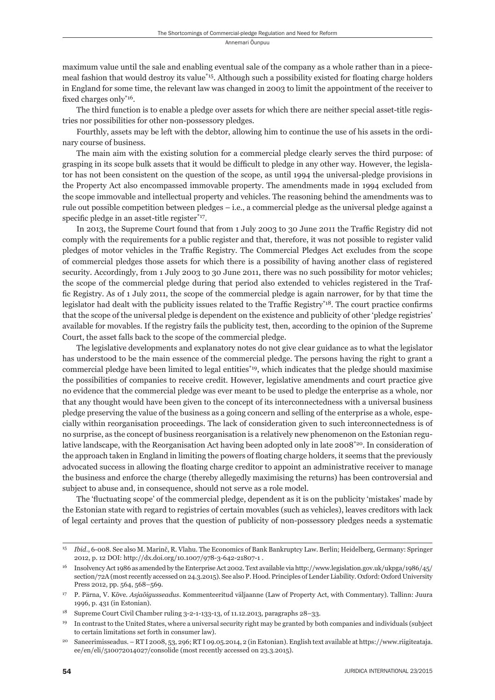maximum value until the sale and enabling eventual sale of the company as a whole rather than in a piecemeal fashion that would destroy its value<sup>\*15</sup>. Although such a possibility existed for floating charge holders in England for some time, the relevant law was changed in 2003 to limit the appointment of the receiver to fixed charges only<sup>\*16</sup>.

The third function is to enable a pledge over assets for which there are neither special asset-title registries nor possibilities for other non-possessory pledges.

Fourthly, assets may be left with the debtor, allowing him to continue the use of his assets in the ordinary course of business.

The main aim with the existing solution for a commercial pledge clearly serves the third purpose: of grasping in its scope bulk assets that it would be difficult to pledge in any other way. However, the legislator has not been consistent on the question of the scope, as until 1994 the universal-pledge provisions in the Property Act also encompassed immovable property. The amendments made in 1994 excluded from the scope immovable and intellectual property and vehicles. The reasoning behind the amendments was to rule out possible competition between pledges – i.e., a commercial pledge as the universal pledge against a specific pledge in an asset-title register $*$ <sup>17</sup>.

In 2013, the Supreme Court found that from 1 July 2003 to 30 June 2011 the Traffic Registry did not comply with the requirements for a public register and that, therefore, it was not possible to register valid pledges of motor vehicles in the Traffic Registry. The Commercial Pledges Act excludes from the scope of commercial pledges those assets for which there is a possibility of having another class of registered security. Accordingly, from 1 July 2003 to 30 June 2011, there was no such possibility for motor vehicles; the scope of the commercial pledge during that period also extended to vehicles registered in the Traffic Registry. As of 1 July 2011, the scope of the commercial pledge is again narrower, for by that time the legislator had dealt with the publicity issues related to the Traffic Registry<sup>\*18</sup>. The court practice confirms that the scope of the universal pledge is dependent on the existence and publicity of other 'pledge registries' available for movables. If the registry fails the publicity test, then, according to the opinion of the Supreme Court, the asset falls back to the scope of the commercial pledge.

The legislative developments and explanatory notes do not give clear guidance as to what the legislator has understood to be the main essence of the commercial pledge. The persons having the right to grant a commercial pledge have been limited to legal entities<sup>\*19</sup>, which indicates that the pledge should maximise the possibilities of companies to receive credit. However, legislative amendments and court practice give no evidence that the commercial pledge was ever meant to be used to pledge the enterprise as a whole, nor that any thought would have been given to the concept of its interconnectedness with a universal business pledge preserving the value of the business as a going concern and selling of the enterprise as a whole, especially within reorganisation proceedings. The lack of consideration given to such interconnectedness is of no surprise, as the concept of business reorganisation is a relatively new phenomenon on the Estonian regulative landscape, with the Reorganisation Act having been adopted only in late 2008<sup>\*20</sup>. In consideration of the approach taken in England in limiting the powers of floating charge holders, it seems that the previously advocated success in allowing the floating charge creditor to appoint an administrative receiver to manage the business and enforce the charge (thereby allegedly maximising the returns) has been controversial and subject to abuse and, in consequence, should not serve as a role model.

The 'fluctuating scope' of the commercial pledge, dependent as it is on the publicity 'mistakes' made by the Estonian state with regard to registries of certain movables (such as vehicles), leaves creditors with lack of legal certainty and proves that the question of publicity of non-possessory pledges needs a systematic

<sup>15</sup> *Ibid*., 6-008. See also M. Marinč, R. Vlahu. The Economics of Bank Bankruptcy Law. Berlin; Heidelberg, Germany: Springer 2012, p. 12 DOI: http://dx.doi.org/10.1007/978-3-642-21807-1 .

<sup>16</sup> Insolvency Act 1986 as amended by the Enterprise Act 2002. Text available via http://www.legislation.gov.uk/ukpga/1986/45/ section/72A (most recently accessed on 24.3.2015). See also P. Hood. Principles of Lender Liability. Oxford: Oxford University Press 2012, pp. 564, 568–569.

<sup>17</sup> P. Pärna, V. Kõve. *Asjaõigusseadus.* Kommenteeritud väljaanne (Law of Property Act, with Commentary). Tallinn: Juura 1996, p. 431 (in Estonian).

<sup>18</sup> Supreme Court Civil Chamber ruling 3-2-1-133-13, of 11.12.2013, paragraphs 28–33.

<sup>19</sup> In contrast to the United States, where a universal security right may be granted by both companies and individuals (subject to certain limitations set forth in consumer law).

<sup>20</sup> Saneerimisseadus. – RT I 2008, 53, 296; RT I 09.05.2014, 2 (in Estonian). English text available at https://www.riigiteataja. ee/en/eli/510072014027/consolide (most recently accessed on 23.3.2015).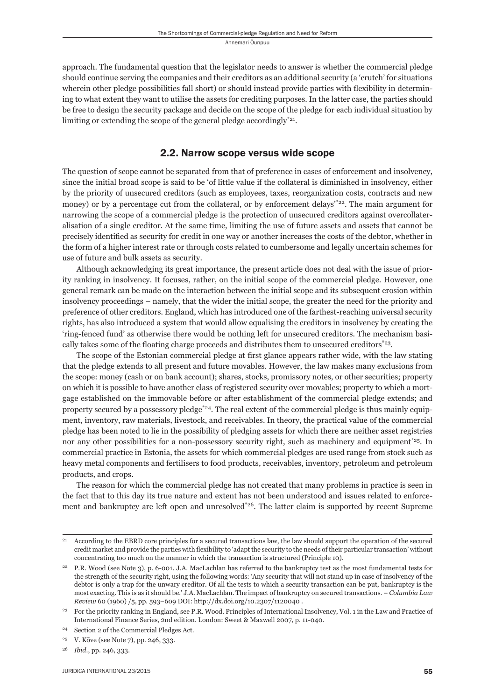approach. The fundamental question that the legislator needs to answer is whether the commercial pledge should continue serving the companies and their creditors as an additional security (a 'crutch' for situations wherein other pledge possibilities fall short) or should instead provide parties with flexibility in determining to what extent they want to utilise the assets for crediting purposes. In the latter case, the parties should be free to design the security package and decide on the scope of the pledge for each individual situation by limiting or extending the scope of the general pledge accordingly<sup>\*21</sup>.

#### 2.2. Narrow scope versus wide scope

The question of scope cannot be separated from that of preference in cases of enforcement and insolvency, since the initial broad scope is said to be 'of little value if the collateral is diminished in insolvency, either by the priority of unsecured creditors (such as employees, taxes, reorganization costs, contracts and new money) or by a percentage cut from the collateral, or by enforcement delays<sup>\*22</sup>. The main argument for narrowing the scope of a commercial pledge is the protection of unsecured creditors against overcollateralisation of a single creditor. At the same time, limiting the use of future assets and assets that cannot be precisely identified as security for credit in one way or another increases the costs of the debtor, whether in the form of a higher interest rate or through costs related to cumbersome and legally uncertain schemes for use of future and bulk assets as security.

Although acknowledging its great importance, the present article does not deal with the issue of priority ranking in insolvency. It focuses, rather, on the initial scope of the commercial pledge. However, one general remark can be made on the interaction between the initial scope and its subsequent erosion within insolvency proceedings – namely, that the wider the initial scope, the greater the need for the priority and preference of other creditors. England, which has introduced one of the farthest-reaching universal security rights, has also introduced a system that would allow equalising the creditors in insolvency by creating the 'ring-fenced fund' as otherwise there would be nothing left for unsecured creditors. The mechanism basically takes some of the floating charge proceeds and distributes them to unsecured creditors $*23$ .

The scope of the Estonian commercial pledge at first glance appears rather wide, with the law stating that the pledge extends to all present and future movables. However, the law makes many exclusions from the scope: money (cash or on bank account); shares, stocks, promissory notes, or other securities; property on which it is possible to have another class of registered security over movables; property to which a mortgage established on the immovable before or after establishment of the commercial pledge extends; and property secured by a possessory pledge\*24. The real extent of the commercial pledge is thus mainly equipment, inventory, raw materials, livestock, and receivables. In theory, the practical value of the commercial pledge has been noted to lie in the possibility of pledging assets for which there are neither asset registries nor any other possibilities for a non-possessory security right, such as machinery and equipment<sup>\*25</sup>. In commercial practice in Estonia, the assets for which commercial pledges are used range from stock such as heavy metal components and fertilisers to food products, receivables, inventory, petroleum and petroleum products, and crops.

The reason for which the commercial pledge has not created that many problems in practice is seen in the fact that to this day its true nature and extent has not been understood and issues related to enforcement and bankruptcy are left open and unresolved<sup>\*26</sup>. The latter claim is supported by recent Supreme

<sup>21</sup> According to the EBRD core principles for a secured transactions law, the law should support the operation of the secured credit market and provide the parties with flexibility to 'adapt the security to the needs of their particular transaction' without concentrating too much on the manner in which the transaction is structured (Principle 10).

<sup>22</sup> P.R. Wood (see Note 3), p. 6-001. J.A. MacLachlan has referred to the bankruptcy test as the most fundamental tests for the strength of the security right, using the following words: 'Any security that will not stand up in case of insolvency of the debtor is only a trap for the unwary creditor. Of all the tests to which a security transaction can be put, bankruptcy is the most exacting. This is as it should be.' J.A. MacLachlan. The impact of bankruptcy on secured transactions. – *Columbia Law Review* 60 (1960) /5, pp. 593–609 DOI: http://dx.doi.org/10.2307/1120040 .

<sup>23</sup> For the priority ranking in England, see P.R. Wood. Principles of International Insolvency, Vol. 1 in the Law and Practice of International Finance Series, 2nd edition. London: Sweet & Maxwell 2007, p. 11-040.

Section 2 of the Commercial Pledges Act.

<sup>25</sup> V. Kõve (see Note 7), pp. 246, 333.

<sup>26</sup> *Ibid*., pp. 246, 333.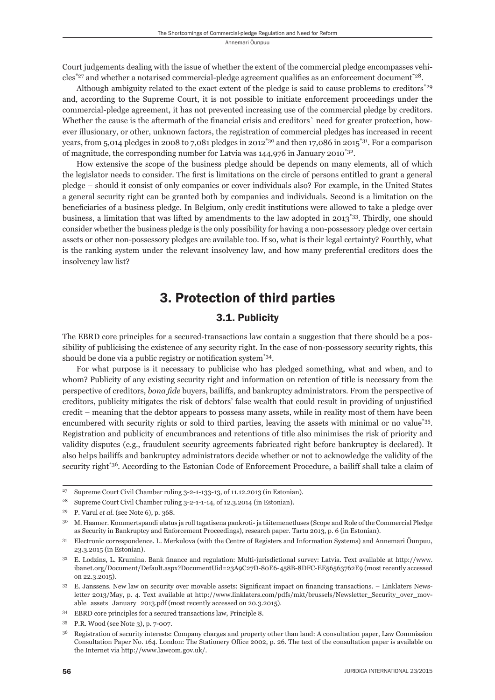Court judgements dealing with the issue of whether the extent of the commercial pledge encompasses vehicles<sup>\*27</sup> and whether a notarised commercial-pledge agreement qualifies as an enforcement document<sup>\*28</sup>.

Although ambiguity related to the exact extent of the pledge is said to cause problems to creditors<sup>\*29</sup> and, according to the Supreme Court, it is not possible to initiate enforcement proceedings under the commercial-pledge agreement, it has not prevented increasing use of the commercial pledge by creditors. Whether the cause is the aftermath of the financial crisis and creditors' need for greater protection, however illusionary, or other, unknown factors, the registration of commercial pledges has increased in recent years, from 5,014 pledges in 2008 to 7,081 pledges in 2012<sup>\*30</sup> and then 17,086 in 2015<sup>\*31</sup>. For a comparison of magnitude, the corresponding number for Latvia was  $144,976$  in January 2010<sup>\*32</sup>.

How extensive the scope of the business pledge should be depends on many elements, all of which the legislator needs to consider. The first is limitations on the circle of persons entitled to grant a general pledge – should it consist of only companies or cover individuals also? For example, in the United States a general security right can be granted both by companies and individuals. Second is a limitation on the beneficiaries of a business pledge. In Belgium, only credit institutions were allowed to take a pledge over business, a limitation that was lifted by amendments to the law adopted in 2013\*33. Thirdly, one should consider whether the business pledge is the only possibility for having a non-possessory pledge over certain assets or other non-possessory pledges are available too. If so, what is their legal certainty? Fourthly, what is the ranking system under the relevant insolvency law, and how many preferential creditors does the insolvency law list?

## 3. Protection of third parties

### 3.1. Publicity

The EBRD core principles for a secured-transactions law contain a suggestion that there should be a possibility of publicising the existence of any security right. In the case of non-possessory security rights, this should be done via a public registry or notification system<sup>\*34</sup>.

For what purpose is it necessary to publicise who has pledged something, what and when, and to whom? Publicity of any existing security right and information on retention of title is necessary from the perspective of creditors, *bona fi de* buyers, bailiffs, and bankruptcy administrators. From the perspective of creditors, publicity mitigates the risk of debtors' false wealth that could result in providing of unjustified credit – meaning that the debtor appears to possess many assets, while in reality most of them have been encumbered with security rights or sold to third parties, leaving the assets with minimal or no value\*35. Registration and publicity of encumbrances and retentions of title also minimises the risk of priority and validity disputes (e.g., fraudulent security agreements fabricated right before bankruptcy is declared). It also helps bailiffs and bankruptcy administrators decide whether or not to acknowledge the validity of the security right<sup>\*36</sup>. According to the Estonian Code of Enforcement Procedure, a bailiff shall take a claim of

<sup>27</sup> Supreme Court Civil Chamber ruling 3-2-1-133-13, of 11.12.2013 (in Estonian).

<sup>28</sup> Supreme Court Civil Chamber ruling 3-2-1-1-14, of 12.3.2014 (in Estonian).

<sup>29</sup> P. Varul *et al.* (see Note 6), p. 368.

<sup>30</sup> M. Haamer. Kommertspandi ulatus ja roll tagatisena pankroti- ja täitemenetluses (Scope and Role of the Commercial Pledge as Security in Bankruptcy and Enforcement Proceedings), research paper. Tartu 2013, p. 6 (in Estonian).

<sup>31</sup> Electronic correspondence. L. Merkulova (with the Centre of Registers and Information Systems) and Annemari Õunpuu, 23.3.2015 (in Estonian).

 $32$  E. Lodzins, L. Krumina. Bank finance and regulation: Multi-jurisdictional survey: Latvia. Text available at http://www. ibanet.org/Document/Default.aspx?DocumentUid=23A9C27D-80E6-458B-8DFC-EE56563762E9 (most recently accessed on 22.3.2015).

<sup>33</sup> E. Janssens. New law on security over movable assets: Significant impact on financing transactions. – Linklaters Newsletter 2013/May, p. 4. Text available at http://www.linklaters.com/pdfs/mkt/brussels/Newsletter\_Security\_over\_movable\_assets\_January\_2013.pdf (most recently accessed on 20.3.2015).

<sup>34</sup> EBRD core principles for a secured transactions law, Principle 8.

<sup>35</sup> P.R. Wood (see Note 3), p. 7-007.

<sup>36</sup> Registration of security interests: Company charges and property other than land: A consultation paper, Law Commission Consultation Paper No. 164. London: The Stationery Office 2002, p. 26. The text of the consultation paper is available on the Internet via http://www.lawcom.gov.uk/.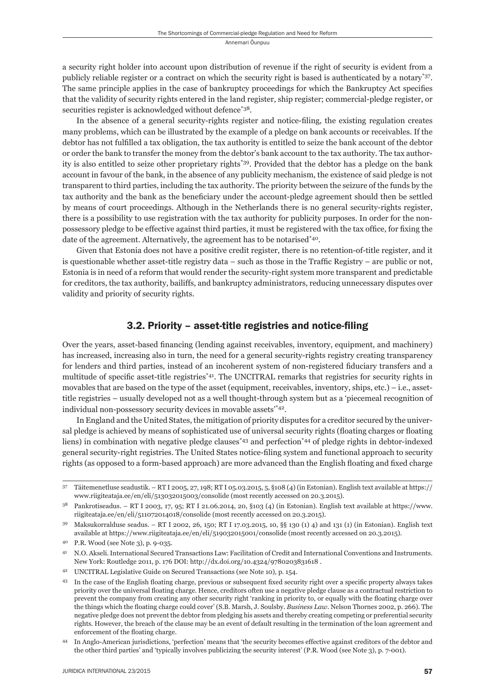a security right holder into account upon distribution of revenue if the right of security is evident from a publicly reliable register or a contract on which the security right is based is authenticated by a notary\*37. The same principle applies in the case of bankruptcy proceedings for which the Bankruptcy Act specifies that the validity of security rights entered in the land register, ship register; commercial-pledge register, or securities register is acknowledged without defence\*38.

In the absence of a general security-rights register and notice-filing, the existing regulation creates many problems, which can be illustrated by the example of a pledge on bank accounts or receivables. If the debtor has not fulfilled a tax obligation, the tax authority is entitled to seize the bank account of the debtor or order the bank to transfer the money from the debtor's bank account to the tax authority. The tax authority is also entitled to seize other proprietary rights\*39. Provided that the debtor has a pledge on the bank account in favour of the bank, in the absence of any publicity mechanism, the existence of said pledge is not transparent to third parties, including the tax authority. The priority between the seizure of the funds by the tax authority and the bank as the beneficiary under the account-pledge agreement should then be settled by means of court proceedings. Although in the Netherlands there is no general security-rights register, there is a possibility to use registration with the tax authority for publicity purposes. In order for the nonpossessory pledge to be effective against third parties, it must be registered with the tax office, for fixing the date of the agreement. Alternatively, the agreement has to be notarised\*40.

Given that Estonia does not have a positive credit register, there is no retention-of-title register, and it is questionable whether asset-title registry data  $-$  such as those in the Traffic Registry  $-$  are public or not, Estonia is in need of a reform that would render the security-right system more transparent and predictable for creditors, the tax authority, bailiffs, and bankruptcy administrators, reducing unnecessary disputes over validity and priority of security rights.

#### 3.2. Priority - asset-title registries and notice-filing

Over the years, asset-based financing (lending against receivables, inventory, equipment, and machinery) has increased, increasing also in turn, the need for a general security-rights registry creating transparency for lenders and third parties, instead of an incoherent system of non-registered fiduciary transfers and a multitude of specific asset-title registries<sup>\*41</sup>. The UNCITRAL remarks that registries for security rights in movables that are based on the type of the asset (equipment, receivables, inventory, ships, etc.) – i.e., assettitle registries – usually developed not as a well thought-through system but as a 'piecemeal recognition of individual non-possessory security devices in movable assets'\*42.

In England and the United States, the mitigation of priority disputes for a creditor secured by the universal pledge is achieved by means of sophisticated use of universal security rights (floating charges or floating liens) in combination with negative pledge clauses\*43 and perfection\*44 of pledge rights in debtor-indexed general security-right registries. The United States notice-filing system and functional approach to security rights (as opposed to a form-based approach) are more advanced than the English floating and fixed charge

<sup>37</sup> Täitemenetluse seadustik. – RT I 2005, 27, 198; RT I 05.03.2015, 5, §108 (4) (in Estonian). English text available at https:// www.riigiteataja.ee/en/eli/513032015003/consolide (most recently accessed on 20.3.2015).

 $38$  Pankrotiseadus. – RT I 2003, 17, 95; RT I 21.06.2014, 20, §103 (4) (in Estonian). English text available at https://www. riigiteataja.ee/en/eli/511072014018/consolide (most recently accessed on 20.3.2015).

<sup>39</sup> Maksukorralduse seadus. – RT I 2002, 26, 150; RT I 17.03.2015, 10, §§ 130 (1) 4) and 131 (1) (in Estonian). English text available at https://www.riigiteataja.ee/en/eli/519032015001/consolide (most recently accessed on 20.3.2015).

<sup>40</sup> P.R. Wood (see Note 3), p. 9-035.

<sup>41</sup> N.O. Akseli. International Secured Transactions Law: Facilitation of Credit and International Conventions and Instruments. New York: Routledge 2011, p. 176 DOI: http://dx.doi.org/10.4324/9780203831618 .

<sup>42</sup> UNCITRAL Legislative Guide on Secured Transactions (see Note 10), p. 154.

<sup>&</sup>lt;sup>43</sup> In the case of the English floating charge, previous or subsequent fixed security right over a specific property always takes priority over the universal floating charge. Hence, creditors often use a negative pledge clause as a contractual restriction to prevent the company from creating any other security right 'ranking in priority to, or equally with the floating charge over the things which the floating charge could cover' (S.B. Marsh, J. Soulsby. *Business Law*. Nelson Thornes 2002, p. 266). The negative pledge does not prevent the debtor from pledging his assets and thereby creating competing or preferential security rights. However, the breach of the clause may be an event of default resulting in the termination of the loan agreement and enforcement of the floating charge.

In Anglo-American jurisdictions, 'perfection' means that 'the security becomes effective against creditors of the debtor and the other third parties' and 'typically involves publicizing the security interest' (P.R. Wood (see Note 3), p. 7-001).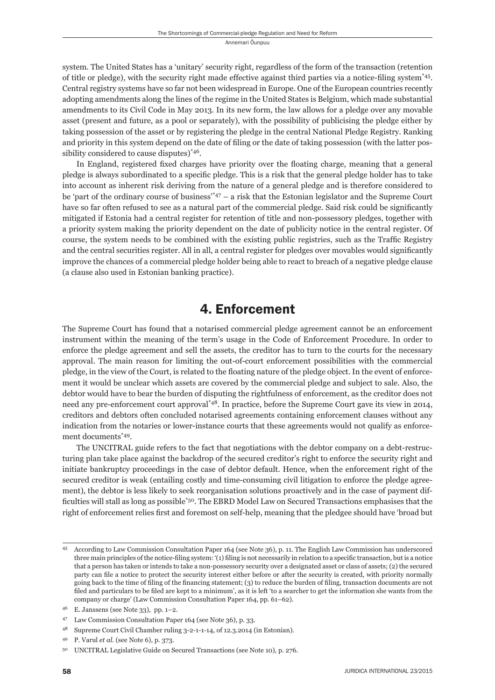system. The United States has a 'unitary' security right, regardless of the form of the transaction (retention of title or pledge), with the security right made effective against third parties via a notice-filing system\*45. Central registry systems have so far not been widespread in Europe. One of the European countries recently adopting amendments along the lines of the regime in the United States is Belgium, which made substantial amendments to its Civil Code in May 2013. In its new form, the law allows for a pledge over any movable asset (present and future, as a pool or separately), with the possibility of publicising the pledge either by taking possession of the asset or by registering the pledge in the central National Pledge Registry. Ranking and priority in this system depend on the date of filing or the date of taking possession (with the latter possibility considered to cause disputes)<sup>\*46</sup>.

In England, registered fixed charges have priority over the floating charge, meaning that a general pledge is always subordinated to a specifi c pledge. This is a risk that the general pledge holder has to take into account as inherent risk deriving from the nature of a general pledge and is therefore considered to be 'part of the ordinary course of business'\*47 – a risk that the Estonian legislator and the Supreme Court have so far often refused to see as a natural part of the commercial pledge. Said risk could be significantly mitigated if Estonia had a central register for retention of title and non-possessory pledges, together with a priority system making the priority dependent on the date of publicity notice in the central register. Of course, the system needs to be combined with the existing public registries, such as the Traffic Registry and the central securities register. All in all, a central register for pledges over movables would significantly improve the chances of a commercial pledge holder being able to react to breach of a negative pledge clause (a clause also used in Estonian banking practice).

# 4. Enforcement

The Supreme Court has found that a notarised commercial pledge agreement cannot be an enforcement instrument within the meaning of the term's usage in the Code of Enforcement Procedure. In order to enforce the pledge agreement and sell the assets, the creditor has to turn to the courts for the necessary approval. The main reason for limiting the out-of-court enforcement possibilities with the commercial pledge, in the view of the Court, is related to the floating nature of the pledge object. In the event of enforcement it would be unclear which assets are covered by the commercial pledge and subject to sale. Also, the debtor would have to bear the burden of disputing the rightfulness of enforcement, as the creditor does not need any pre-enforcement court approval\*48. In practice, before the Supreme Court gave its view in 2014, creditors and debtors often concluded notarised agreements containing enforcement clauses without any indication from the notaries or lower-instance courts that these agreements would not qualify as enforcement documents\*49.

The UNCITRAL guide refers to the fact that negotiations with the debtor company on a debt-restructuring plan take place against the backdrop of the secured creditor's right to enforce the security right and initiate bankruptcy proceedings in the case of debtor default. Hence, when the enforcement right of the secured creditor is weak (entailing costly and time-consuming civil litigation to enforce the pledge agreement), the debtor is less likely to seek reorganisation solutions proactively and in the case of payment difficulties will stall as long as possible<sup>\*50</sup>. The EBRD Model Law on Secured Transactions emphasises that the right of enforcement relies first and foremost on self-help, meaning that the pledgee should have 'broad but

<sup>45</sup> According to Law Commission Consultation Paper 164 (see Note 36), p. 11. The English Law Commission has underscored three main principles of the notice-filing system: '(1) filing is not necessarily in relation to a specific transaction, but is a notice that a person has taken or intends to take a non-possessory security over a designated asset or class of assets; (2) the secured party can file a notice to protect the security interest either before or after the security is created, with priority normally going back to the time of filing of the financing statement; (3) to reduce the burden of filing, transaction documents are not filed and particulars to be filed are kept to a minimum', as it is left 'to a searcher to get the information she wants from the company or charge' (Law Commission Consultation Paper 164, pp. 61–62).

<sup>46</sup> E. Janssens (see Note 33), pp. 1−2.

<sup>47</sup> Law Commission Consultation Paper 164 (see Note 36), p. 33.

<sup>48</sup> Supreme Court Civil Chamber ruling 3-2-1-1-14, of 12.3.2014 (in Estonian).

<sup>49</sup> P. Varul *et al*. (see Note 6), p. 373.

<sup>50</sup> UNCITRAL Legislative Guide on Secured Transactions (see Note 10), p. 276.